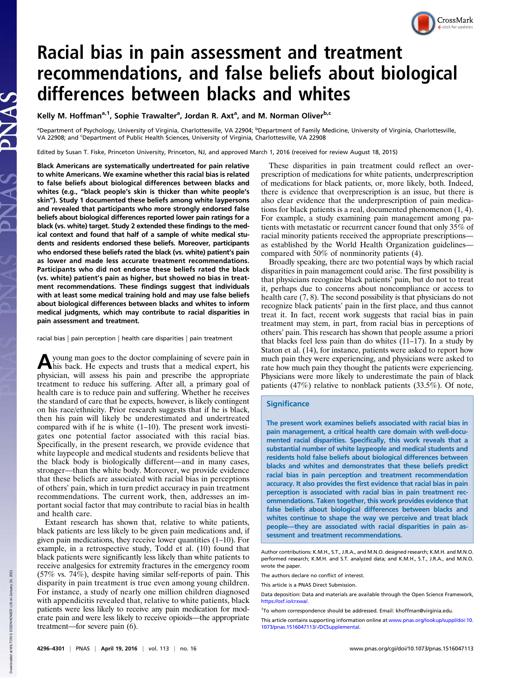# CrossMark

# Racial bias in pain assessment and treatment recommendations, and false beliefs about biological differences between blacks and whites

Kelly M. Hoffman<sup>a,1</sup>, Sophie Trawalter<sup>a</sup>, Jordan R. Axt<sup>a</sup>, and M. Norman Oliver<sup>b,c</sup>

<sup>a</sup>Department of Psychology, University of Virginia, Charlottesville, VA 22904; <sup>b</sup>Department of Family Medicine, University of Virginia, Charlottesville, VA 22908; and <sup>c</sup> Department of Public Health Sciences, University of Virginia, Charlottesville, VA 22908

Edited by Susan T. Fiske, Princeton University, Princeton, NJ, and approved March 1, 2016 (received for review August 18, 2015)

Black Americans are systematically undertreated for pain relative to white Americans. We examine whether this racial bias is related to false beliefs about biological differences between blacks and whites (e.g., "black people's skin is thicker than white people's skin"). Study 1 documented these beliefs among white laypersons and revealed that participants who more strongly endorsed false beliefs about biological differences reported lower pain ratings for a black (vs. white) target. Study 2 extended these findings to the medical context and found that half of a sample of white medical students and residents endorsed these beliefs. Moreover, participants who endorsed these beliefs rated the black (vs. white) patient's pain as lower and made less accurate treatment recommendations. Participants who did not endorse these beliefs rated the black (vs. white) patient's pain as higher, but showed no bias in treatment recommendations. These findings suggest that individuals with at least some medical training hold and may use false beliefs about biological differences between blacks and whites to inform medical judgments, which may contribute to racial disparities in pain assessment and treatment.

racial bias | pain perception | health care disparities | pain treatment

A young man goes to the doctor complaining of severe pain in<br>his back. He expects and trusts that a medical expert, his physician, will assess his pain and prescribe the appropriate treatment to reduce his suffering. After all, a primary goal of health care is to reduce pain and suffering. Whether he receives the standard of care that he expects, however, is likely contingent on his race/ethnicity. Prior research suggests that if he is black, then his pain will likely be underestimated and undertreated compared with if he is white (1–10). The present work investigates one potential factor associated with this racial bias. Specifically, in the present research, we provide evidence that white laypeople and medical students and residents believe that the black body is biologically different—and in many cases, stronger—than the white body. Moreover, we provide evidence that these beliefs are associated with racial bias in perceptions of others' pain, which in turn predict accuracy in pain treatment recommendations. The current work, then, addresses an important social factor that may contribute to racial bias in health and health care.

Extant research has shown that, relative to white patients, black patients are less likely to be given pain medications and, if given pain medications, they receive lower quantities (1–10). For example, in a retrospective study, Todd et al. (10) found that black patients were significantly less likely than white patients to receive analgesics for extremity fractures in the emergency room (57% vs. 74%), despite having similar self-reports of pain. This disparity in pain treatment is true even among young children. For instance, a study of nearly one million children diagnosed with appendicitis revealed that, relative to white patients, black patients were less likely to receive any pain medication for moderate pain and were less likely to receive opioids—the appropriate treatment—for severe pain (6).

These disparities in pain treatment could reflect an overprescription of medications for white patients, underprescription of medications for black patients, or, more likely, both. Indeed, there is evidence that overprescription is an issue, but there is also clear evidence that the underprescription of pain medications for black patients is a real, documented phenomenon (1, 4). For example, a study examining pain management among patients with metastatic or recurrent cancer found that only 35% of racial minority patients received the appropriate prescriptions as established by the World Health Organization guidelines compared with 50% of nonminority patients (4).

Broadly speaking, there are two potential ways by which racial disparities in pain management could arise. The first possibility is that physicians recognize black patients' pain, but do not to treat it, perhaps due to concerns about noncompliance or access to health care (7, 8). The second possibility is that physicians do not recognize black patients' pain in the first place, and thus cannot treat it. In fact, recent work suggests that racial bias in pain treatment may stem, in part, from racial bias in perceptions of others' pain. This research has shown that people assume a priori that blacks feel less pain than do whites (11–17). In a study by Staton et al. (14), for instance, patients were asked to report how much pain they were experiencing, and physicians were asked to rate how much pain they thought the patients were experiencing. Physicians were more likely to underestimate the pain of black patients (47%) relative to nonblack patients (33.5%). Of note,

# **Significance**

The present work examines beliefs associated with racial bias in pain management, a critical health care domain with well-documented racial disparities. Specifically, this work reveals that a substantial number of white laypeople and medical students and residents hold false beliefs about biological differences between blacks and whites and demonstrates that these beliefs predict racial bias in pain perception and treatment recommendation accuracy. It also provides the first evidence that racial bias in pain perception is associated with racial bias in pain treatment recommendations. Taken together, this work provides evidence that false beliefs about biological differences between blacks and whites continue to shape the way we perceive and treat black people—they are associated with racial disparities in pain assessment and treatment recommendations.

Author contributions: K.M.H., S.T., J.R.A., and M.N.O. designed research; K.M.H. and M.N.O. performed research; K.M.H. and S.T. analyzed data; and K.M.H., S.T., J.R.A., and M.N.O. wrote the paper.

The authors declare no conflict of interest.

This article is a PNAS Direct Submission.

Data deposition: Data and materials are available through the Open Science Framework, [https://osf.io/crxwa/.](https://osf.io/crxwa/)

Down

<sup>&</sup>lt;sup>1</sup>To whom correspondence should be addressed. Email: [khoffman@virginia.edu.](mailto:khoffman@virginia.edu)

This article contains supporting information online at [www.pnas.org/lookup/suppl/doi:10.](http://www.pnas.org/lookup/suppl/doi:10.1073/pnas.1516047113/-/DCSupplemental) [1073/pnas.1516047113/-/DCSupplemental.](http://www.pnas.org/lookup/suppl/doi:10.1073/pnas.1516047113/-/DCSupplemental)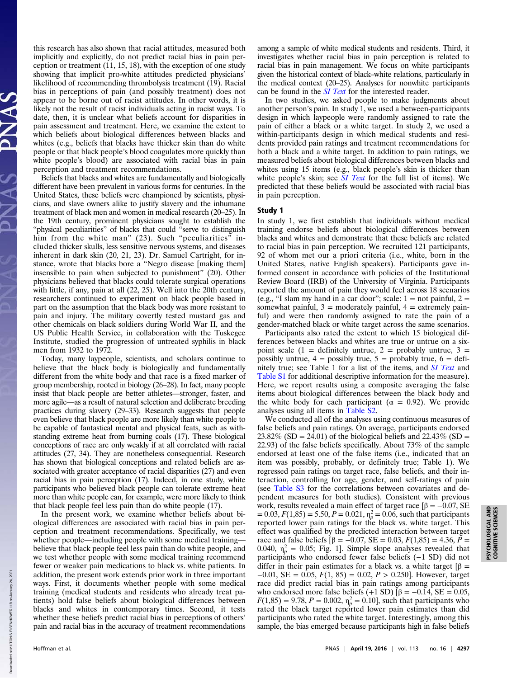this research has also shown that racial attitudes, measured both implicitly and explicitly, do not predict racial bias in pain perception or treatment (11, 15, 18), with the exception of one study showing that implicit pro-white attitudes predicted physicians' likelihood of recommending thrombolysis treatment (19). Racial bias in perceptions of pain (and possibly treatment) does not appear to be borne out of racist attitudes. In other words, it is likely not the result of racist individuals acting in racist ways. To date, then, it is unclear what beliefs account for disparities in pain assessment and treatment. Here, we examine the extent to which beliefs about biological differences between blacks and whites (e.g., beliefs that blacks have thicker skin than do white people or that black people's blood coagulates more quickly than white people's blood) are associated with racial bias in pain perception and treatment recommendations.

Beliefs that blacks and whites are fundamentally and biologically different have been prevalent in various forms for centuries. In the United States, these beliefs were championed by scientists, physicians, and slave owners alike to justify slavery and the inhumane treatment of black men and women in medical research (20–25). In the 19th century, prominent physicians sought to establish the "physical peculiarities" of blacks that could "serve to distinguish him from the white man" (23). Such "peculiarities" included thicker skulls, less sensitive nervous systems, and diseases inherent in dark skin (20, 21, 23). Dr. Samuel Cartright, for instance, wrote that blacks bore a "Negro disease [making them] insensible to pain when subjected to punishment" (20). Other physicians believed that blacks could tolerate surgical operations with little, if any, pain at all (22, 25). Well into the 20th century, researchers continued to experiment on black people based in part on the assumption that the black body was more resistant to pain and injury. The military covertly tested mustard gas and other chemicals on black soldiers during World War II, and the US Public Health Service, in collaboration with the Tuskegee Institute, studied the progression of untreated syphilis in black men from 1932 to 1972.

Today, many laypeople, scientists, and scholars continue to believe that the black body is biologically and fundamentally different from the white body and that race is a fixed marker of group membership, rooted in biology (26–28). In fact, many people insist that black people are better athletes—stronger, faster, and more agile—as a result of natural selection and deliberate breeding practices during slavery (29–33). Research suggests that people even believe that black people are more likely than white people to be capable of fantastical mental and physical feats, such as withstanding extreme heat from burning coals (17). These biological conceptions of race are only weakly if at all correlated with racial attitudes (27, 34). They are nonetheless consequential. Research has shown that biological conceptions and related beliefs are associated with greater acceptance of racial disparities (27) and even racial bias in pain perception (17). Indeed, in one study, white participants who believed black people can tolerate extreme heat more than white people can, for example, were more likely to think that black people feel less pain than do white people (17).

In the present work, we examine whether beliefs about biological differences are associated with racial bias in pain perception and treatment recommendations. Specifically, we test whether people—including people with some medical training believe that black people feel less pain than do white people, and we test whether people with some medical training recommend fewer or weaker pain medications to black vs. white patients. In addition, the present work extends prior work in three important ways. First, it documents whether people with some medical training (medical students and residents who already treat patients) hold false beliefs about biological differences between blacks and whites in contemporary times. Second, it tests whether these beliefs predict racial bias in perceptions of others' pain and racial bias in the accuracy of treatment recommendations among a sample of white medical students and residents. Third, it investigates whether racial bias in pain perception is related to racial bias in pain management. We focus on white participants given the historical context of black–white relations, particularly in the medical context (20–25). Analyses for nonwhite participants can be found in the *[SI Text](http://www.pnas.org/lookup/suppl/doi:10.1073/pnas.1516047113/-/DCSupplemental/pnas.201516047SI.pdf?targetid=nameddest=STXT)* for the interested reader.

In two studies, we asked people to make judgments about another person's pain. In study 1, we used a between-participants design in which laypeople were randomly assigned to rate the pain of either a black or a white target. In study 2, we used a within-participants design in which medical students and residents provided pain ratings and treatment recommendations for both a black and a white target. In addition to pain ratings, we measured beliefs about biological differences between blacks and whites using 15 items (e.g., black people's skin is thicker than white people's skin; see *[SI Text](http://www.pnas.org/lookup/suppl/doi:10.1073/pnas.1516047113/-/DCSupplemental/pnas.201516047SI.pdf?targetid=nameddest=STXT)* for the full list of items). We predicted that these beliefs would be associated with racial bias in pain perception.

# Study 1

In study 1, we first establish that individuals without medical training endorse beliefs about biological differences between blacks and whites and demonstrate that these beliefs are related to racial bias in pain perception. We recruited 121 participants, 92 of whom met our a priori criteria (i.e., white, born in the United States, native English speakers). Participants gave informed consent in accordance with policies of the Institutional Review Board (IRB) of the University of Virginia. Participants reported the amount of pain they would feel across 18 scenarios (e.g., "I slam my hand in a car door"; scale:  $1 =$  not painful,  $2 =$ somewhat painful,  $3 =$  moderately painful,  $4 =$  extremely painful) and were then randomly assigned to rate the pain of a gender-matched black or white target across the same scenarios.

Participants also rated the extent to which 15 biological differences between blacks and whites are true or untrue on a sixpoint scale  $(1 =$  definitely untrue,  $2 =$  probably untrue,  $3 =$ possibly untrue,  $4 =$  possibly true,  $5 =$  probably true,  $6 =$  definitely true; see Table 1 for a list of the items, and *[SI Text](http://www.pnas.org/lookup/suppl/doi:10.1073/pnas.1516047113/-/DCSupplemental/pnas.201516047SI.pdf?targetid=nameddest=STXT)* and [Table S1](http://www.pnas.org/lookup/suppl/doi:10.1073/pnas.1516047113/-/DCSupplemental/pnas.201516047SI.pdf?targetid=nameddest=ST1) for additional descriptive information for the measure). Here, we report results using a composite averaging the false items about biological differences between the black body and the white body for each participant ( $\alpha = 0.92$ ). We provide analyses using all items in [Table S2.](http://www.pnas.org/lookup/suppl/doi:10.1073/pnas.1516047113/-/DCSupplemental/pnas.201516047SI.pdf?targetid=nameddest=ST2)

We conducted all of the analyses using continuous measures of false beliefs and pain ratings. On average, participants endorsed  $23.82\%$  (SD = 24.01) of the biological beliefs and  $22.43\%$  (SD = 22.93) of the false beliefs specifically. About 73% of the sample endorsed at least one of the false items (i.e., indicated that an item was possibly, probably, or definitely true; Table 1). We regressed pain ratings on target race, false beliefs, and their interaction, controlling for age, gender, and self-ratings of pain (see [Table S3](http://www.pnas.org/lookup/suppl/doi:10.1073/pnas.1516047113/-/DCSupplemental/pnas.201516047SI.pdf?targetid=nameddest=ST3) for the correlations between covariates and dependent measures for both studies). Consistent with previous work, results revealed a main effect of target race  $[\beta = -0.07, SE]$  $= 0.03, F(1,85) = 5.50, P = 0.021, \eta_p^2 = 0.06$ , such that participants reported lower pain ratings for the black vs. white target. This effect was qualified by the predicted interaction between target race and false beliefs  $[β = -0.07, SE = 0.03, F(1,85) = 4.36, P =$ 0.040,  $\eta_p^2 = 0.05$ ; Fig. 1]. Simple slope analyses revealed that participants who endorsed fewer false beliefs (−1 SD) did not differ in their pain estimates for a black vs. a white target  $\beta$  =  $-0.01$ , SE = 0.05,  $F(1, 85) = 0.02$ ,  $P > 0.250$ . However, target race did predict racial bias in pain ratings among participants who endorsed more false beliefs (+1 SD)  $\beta$  = -0.14, SE = 0.05,  $F(1,85) = 9.78, P = 0.002, \eta_p^2 = 0.10$ , such that participants who rated the black target reported lower pain estimates than did participants who rated the white target. Interestingly, among this sample, the bias emerged because participants high in false beliefs

2021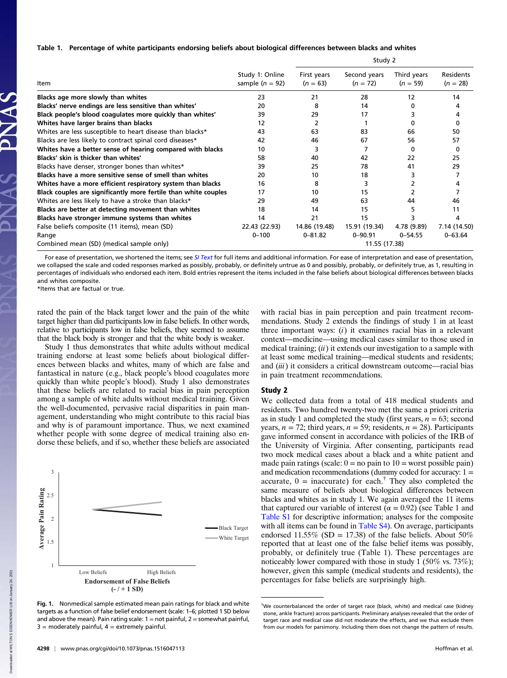#### Table 1. Percentage of white participants endorsing beliefs about biological differences between blacks and whites

| <b>Item</b>                                                     | Study 1: Online<br>sample $(n = 92)$ | stuuy z                   |                            |                           |                                |
|-----------------------------------------------------------------|--------------------------------------|---------------------------|----------------------------|---------------------------|--------------------------------|
|                                                                 |                                      | First years<br>$(n = 63)$ | Second years<br>$(n = 72)$ | Third years<br>$(n = 59)$ | <b>Residents</b><br>$(n = 28)$ |
| Blacks age more slowly than whites                              | 23                                   | 21                        | 28                         | 12                        | 14                             |
| Blacks' nerve endings are less sensitive than whites'           | 20                                   | 8                         | 14                         | 0                         | 4                              |
| Black people's blood coagulates more quickly than whites'       | 39                                   | 29                        | 17                         | 3                         | 4                              |
| Whites have larger brains than blacks                           | 12                                   | 2                         |                            | 0                         | 0                              |
| Whites are less susceptible to heart disease than blacks*       | 43                                   | 63                        | 83                         | 66                        | 50                             |
| Blacks are less likely to contract spinal cord diseases*        | 42                                   | 46                        | 67                         | 56                        | 57                             |
| Whites have a better sense of hearing compared with blacks      | 10                                   | 3                         |                            | 0                         | 0                              |
| Blacks' skin is thicker than whites'                            | 58                                   | 40                        | 42                         | 22                        | 25                             |
| Blacks have denser, stronger bones than whites*                 | 39                                   | 25                        | 78                         | 41                        | 29                             |
| Blacks have a more sensitive sense of smell than whites         | 20                                   | 10                        | 18                         | 3                         |                                |
| Whites have a more efficient respiratory system than blacks     | 16                                   | 8                         | 3                          | 2                         |                                |
| Black couples are significantly more fertile than white couples | 17                                   | 10                        | 15                         |                           |                                |
| Whites are less likely to have a stroke than blacks*            | 29                                   | 49                        | 63                         | 44                        | 46                             |
| Blacks are better at detecting movement than whites             | 18                                   | 14                        | 15                         | 5                         | 11                             |
| Blacks have stronger immune systems than whites                 | 14                                   | 21                        | 15                         | 3                         | 4                              |
| False beliefs composite (11 items), mean (SD)                   | 22.43 (22.93)                        | 14.86 (19.48)             | 15.91 (19.34)              | 4.78 (9.89)               | 7.14 (14.50)                   |
| Range                                                           | $0 - 100$                            | $0 - 81.82$               | $0 - 90.91$                | $0 - 54.55$               | $0 - 63.64$                    |
| Combined mean (SD) (medical sample only)                        |                                      | 11.55 (17.38)             |                            |                           |                                |

For ease of presentation, we shortened the items; see [SI Text](http://www.pnas.org/lookup/suppl/doi:10.1073/pnas.1516047113/-/DCSupplemental/pnas.201516047SI.pdf?targetid=nameddest=STXT) for full items and additional information. For ease of interpretation and ease of presentation, we collapsed the scale and coded responses marked as possibly, probably, or definitely untrue as 0 and possibly, probably, or definitely true, as 1, resulting in percentages of individuals who endorsed each item. Bold entries represent the items included in the false beliefs about biological differences between blacks and whites composite.

\*Items that are factual or true.

rated the pain of the black target lower and the pain of the white target higher than did participants low in false beliefs. In other words, relative to participants low in false beliefs, they seemed to assume that the black body is stronger and that the white body is weaker.

Study 1 thus demonstrates that white adults without medical training endorse at least some beliefs about biological differences between blacks and whites, many of which are false and fantastical in nature (e.g., black people's blood coagulates more quickly than white people's blood). Study 1 also demonstrates that these beliefs are related to racial bias in pain perception among a sample of white adults without medical training. Given the well-documented, pervasive racial disparities in pain management, understanding who might contribute to this racial bias and why is of paramount importance. Thus, we next examined whether people with some degree of medical training also endorse these beliefs, and if so, whether these beliefs are associated



Fig. 1. Nonmedical sample estimated mean pain ratings for black and white targets as a function of false belief endorsement (scale: 1–6; plotted 1 SD below and above the mean). Pain rating scale:  $1 =$  not painful,  $2 =$  somewhat painful,  $3 =$  moderately painful,  $4 =$  extremely painful.

with racial bias in pain perception and pain treatment recommendations. Study 2 extends the findings of study 1 in at least three important ways:  $(i)$  it examines racial bias in a relevant context—medicine—using medical cases similar to those used in medical training;  $(ii)$  it extends our investigation to a sample with at least some medical training—medical students and residents; and (iii) it considers a critical downstream outcome—racial bias in pain treatment recommendations.

 $C + 1.4.22$ 

#### Study 2

We collected data from a total of 418 medical students and residents. Two hundred twenty-two met the same a priori criteria as in study 1 and completed the study (first years,  $n = 63$ ; second years,  $n = 72$ ; third years,  $n = 59$ ; residents,  $n = 28$ ). Participants gave informed consent in accordance with policies of the IRB of the University of Virginia. After consenting, participants read two mock medical cases about a black and a white patient and made pain ratings (scale:  $0 = no$  pain to  $10 =$  worst possible pain) and medication recommendations (dummy coded for accuracy:  $1 =$ accurate,  $0 = \text{inaccurate}$  for each.<sup>†</sup> They also completed the same measure of beliefs about biological differences between blacks and whites as in study 1. We again averaged the 11 items that captured our variable of interest ( $\alpha = 0.92$ ) (see Table 1 and [Table S1](http://www.pnas.org/lookup/suppl/doi:10.1073/pnas.1516047113/-/DCSupplemental/pnas.201516047SI.pdf?targetid=nameddest=ST1) for descriptive information; analyses for the composite with all items can be found in [Table S4\)](http://www.pnas.org/lookup/suppl/doi:10.1073/pnas.1516047113/-/DCSupplemental/pnas.201516047SI.pdf?targetid=nameddest=ST4). On average, participants endorsed 11.55% (SD = 17.38) of the false beliefs. About 50% reported that at least one of the false belief items was possibly, probably, or definitely true (Table 1). These percentages are noticeably lower compared with those in study 1 (50% vs. 73%); however, given this sample (medical students and residents), the percentages for false beliefs are surprisingly high.

<sup>†</sup> We counterbalanced the order of target race (black, white) and medical case (kidney stone, ankle fracture) across participants. Preliminary analyses revealed that the order of target race and medical case did not moderate the effects, and we thus exclude them from our models for parsimony. Including them does not change the pattern of results.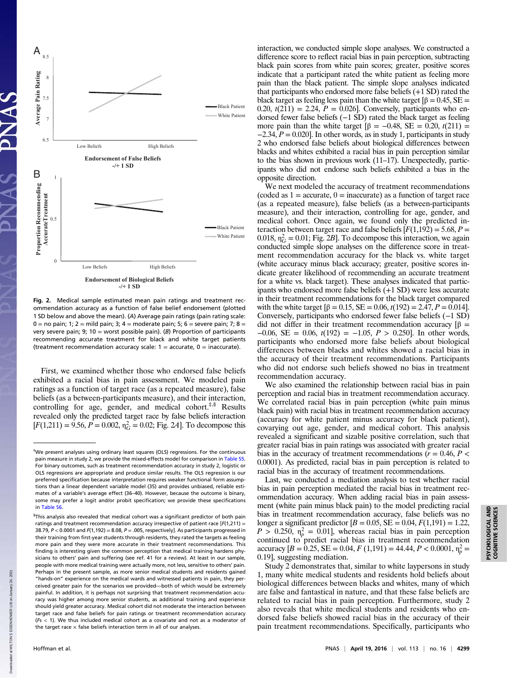



Fig. 2. Medical sample estimated mean pain ratings and treatment recommendation accuracy as a function of false belief endorsement (plotted 1 SD below and above the mean). (A) Average pain ratings (pain rating scale: 0 = no pain; 1; 2 = mild pain; 3; 4 = moderate pain; 5; 6 = severe pain; 7; 8 = very severe pain; 9; 10 = worst possible pain). (B) Proportion of participants recommending accurate treatment for black and white target patients (treatment recommendation accuracy scale:  $1 =$  accurate,  $0 =$  inaccurate).

First, we examined whether those who endorsed false beliefs exhibited a racial bias in pain assessment. We modeled pain ratings as a function of target race (as a repeated measure), false beliefs (as a between-participants measure), and their interaction, controlling for age, gender, and medical cohort.<sup>#,§</sup> Results revealed only the predicted target race by false beliefs interaction  $[F(1,211) = 9.56, P = 0.002, \eta_G^2 = 0.02$ ; Fig. 24]. To decompose this

interaction, we conducted simple slope analyses. We constructed a difference score to reflect racial bias in pain perception, subtracting black pain scores from white pain scores; greater, positive scores indicate that a participant rated the white patient as feeling more pain than the black patient. The simple slope analyses indicated that participants who endorsed more false beliefs (+1 SD) rated the black target as feeling less pain than the white target  $\beta = 0.45$ , SE = 0.20,  $t(211) = 2.24$ ,  $P = 0.026$ ]. Conversely, participants who endorsed fewer false beliefs (−1 SD) rated the black target as feeling more pain than the white target  $\beta = -0.48$ , SE = 0.20,  $t(211)$  =  $-2.34, P = 0.020$ . In other words, as in study 1, participants in study 2 who endorsed false beliefs about biological differences between blacks and whites exhibited a racial bias in pain perception similar to the bias shown in previous work (11–17). Unexpectedly, participants who did not endorse such beliefs exhibited a bias in the opposite direction.

We next modeled the accuracy of treatment recommendations (coded as  $1 =$  accurate,  $0 =$  inaccurate) as a function of target race (as a repeated measure), false beliefs (as a between-participants measure), and their interaction, controlling for age, gender, and medical cohort. Once again, we found only the predicted interaction between target race and false beliefs  $[F(1,192) = 5.68, P =$ 0.018,  $\eta_G^2 = 0.01$ ; Fig. 2B]. To decompose this interaction, we again conducted simple slope analyses on the difference score in treatment recommendation accuracy for the black vs. white target (white accuracy minus black accuracy; greater, positive scores indicate greater likelihood of recommending an accurate treatment for a white vs. black target). These analyses indicated that participants who endorsed more false beliefs (+1 SD) were less accurate in their treatment recommendations for the black target compared with the white target  $\beta = 0.15$ , SE = 0.06,  $t(192) = 2.47$ ,  $P = 0.014$ . Conversely, participants who endorsed fewer false beliefs (−1 SD) did not differ in their treatment recommendation accuracy  $[\beta =$  $-0.06$ , SE = 0.06,  $t(192)$  =  $-1.05$ ,  $P > 0.250$ . In other words, participants who endorsed more false beliefs about biological differences between blacks and whites showed a racial bias in the accuracy of their treatment recommendations. Participants who did not endorse such beliefs showed no bias in treatment recommendation accuracy.

We also examined the relationship between racial bias in pain perception and racial bias in treatment recommendation accuracy. We correlated racial bias in pain perception (white pain minus black pain) with racial bias in treatment recommendation accuracy (accuracy for white patient minus accuracy for black patient), covarying out age, gender, and medical cohort. This analysis revealed a significant and sizable positive correlation, such that greater racial bias in pain ratings was associated with greater racial bias in the accuracy of treatment recommendations ( $r = 0.46$ ,  $P <$ 0.0001). As predicted, racial bias in pain perception is related to racial bias in the accuracy of treatment recommendations.

Last, we conducted a mediation analysis to test whether racial bias in pain perception mediated the racial bias in treatment recommendation accuracy. When adding racial bias in pain assessment (white pain minus black pain) to the model predicting racial bias in treatment recommendation accuracy, false beliefs was no longer a significant predictor  $[B = 0.05, SE = 0.04, F(1,191) = 1.22,$  $P > 0.250$ ,  $\eta_p^2 = 0.01$ , whereas racial bias in pain perception continued to predict racial bias in treatment recommendation accuracy  $[B = 0.25, SE = 0.04, F(1,191) = 44.44, P < 0.0001, \eta_p^2 =$ 0.19], suggesting mediation.

Study 2 demonstrates that, similar to white laypersons in study 1, many white medical students and residents hold beliefs about biological differences between blacks and whites, many of which are false and fantastical in nature, and that these false beliefs are related to racial bias in pain perception. Furthermore, study 2 also reveals that white medical students and residents who endorsed false beliefs showed racial bias in the accuracy of their pain treatment recommendations. Specifically, participants who

 $.2021$ 

<sup>‡</sup> We present analyses using ordinary least squares (OLS) regressions. For the continuous pain measure in study 2, we provide the mixed-effects model for comparison in [Table S5.](http://www.pnas.org/lookup/suppl/doi:10.1073/pnas.1516047113/-/DCSupplemental/pnas.201516047SI.pdf?targetid=nameddest=ST5) For binary outcomes, such as treatment recommendation accuracy in study 2, logistic or OLS regressions are appropriate and produce similar results. The OLS regression is our preferred specification because interpretation requires weaker functional form assumptions than a linear dependent variable model (35) and provides unbiased, reliable estimates of a variable's average effect (36–40). However, because the outcome is binary, some may prefer a logit and/or probit specification; we provide these specifications in [Table S6](http://www.pnas.org/lookup/suppl/doi:10.1073/pnas.1516047113/-/DCSupplemental/pnas.201516047SI.pdf?targetid=nameddest=ST6).

<sup>§</sup> This analysis also revealed that medical cohort was a significant predictor of both pain ratings and treatment recommendation accuracy irrespective of patient race  $[F(1,211) =$ 38.79,  $P < 0.0001$  and  $F(1,192) = 8.08$ ,  $P = .005$ , respectively]. As participants progressed in their training from first-year students through residents, they rated the targets as feeling more pain and they were more accurate in their treatment recommendations. This finding is interesting given the common perception that medical training hardens physicians to others' pain and suffering (see ref. 41 for a review). At least in our sample, people with more medical training were actually more, not less, sensitive to others' pain. Perhaps in the present sample, as more senior medical students and residents gained "hands-on" experience on the medical wards and witnessed patients in pain, they perceived greater pain for the scenarios we provided—both of which would be extremely painful. In addition, it is perhaps not surprising that treatment recommendation accuracy was higher among more senior students, as additional training and experience should yield greater accuracy. Medical cohort did not moderate the interaction between target race and false beliefs for pain ratings or treatment recommendation accuracy  $(F<sub>5</sub> < 1)$ . We thus included medical cohort as a covariate and not as a moderator of the target race  $\times$  false beliefs interaction term in all of our analyses.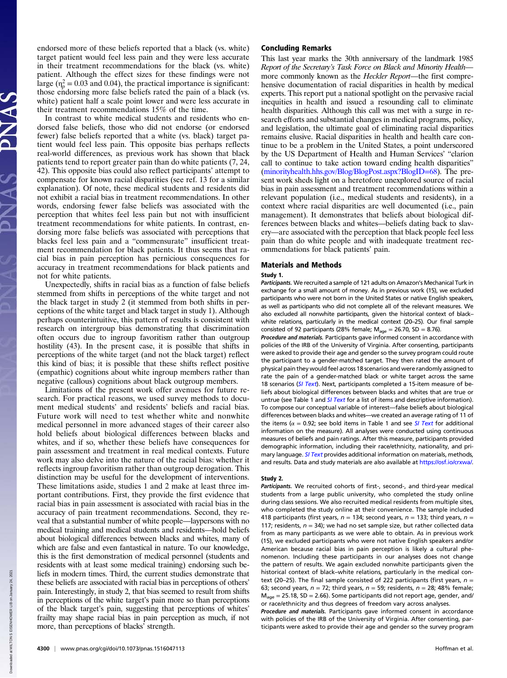endorsed more of these beliefs reported that a black (vs. white) target patient would feel less pain and they were less accurate in their treatment recommendations for the black (vs. white) patient. Although the effect sizes for these findings were not large ( $\eta_p^2 = 0.03$  and 0.04), the practical importance is significant: those endorsing more false beliefs rated the pain of a black (vs. white) patient half a scale point lower and were less accurate in their treatment recommendations 15% of the time.

In contrast to white medical students and residents who endorsed false beliefs, those who did not endorse (or endorsed fewer) false beliefs reported that a white (vs. black) target patient would feel less pain. This opposite bias perhaps reflects real-world differences, as previous work has shown that black patients tend to report greater pain than do white patients (7, 24, 42). This opposite bias could also reflect participants' attempt to compensate for known racial disparities (see ref. 13 for a similar explanation). Of note, these medical students and residents did not exhibit a racial bias in treatment recommendations. In other words, endorsing fewer false beliefs was associated with the perception that whites feel less pain but not with insufficient treatment recommendations for white patients. In contrast, endorsing more false beliefs was associated with perceptions that blacks feel less pain and a "commensurate" insufficient treatment recommendation for black patients. It thus seems that racial bias in pain perception has pernicious consequences for accuracy in treatment recommendations for black patients and not for white patients.

Unexpectedly, shifts in racial bias as a function of false beliefs stemmed from shifts in perceptions of the white target and not the black target in study 2 (it stemmed from both shifts in perceptions of the white target and black target in study 1). Although perhaps counterintuitive, this pattern of results is consistent with research on intergroup bias demonstrating that discrimination often occurs due to ingroup favoritism rather than outgroup hostility (43). In the present case, it is possible that shifts in perceptions of the white target (and not the black target) reflect this kind of bias; it is possible that these shifts reflect positive (empathic) cognitions about white ingroup members rather than negative (callous) cognitions about black outgroup members.

Limitations of the present work offer avenues for future research. For practical reasons, we used survey methods to document medical students' and residents' beliefs and racial bias. Future work will need to test whether white and nonwhite medical personnel in more advanced stages of their career also hold beliefs about biological differences between blacks and whites, and if so, whether these beliefs have consequences for pain assessment and treatment in real medical contexts. Future work may also delve into the nature of the racial bias: whether it reflects ingroup favoritism rather than outgroup derogation. This distinction may be useful for the development of interventions. These limitations aside, studies 1 and 2 make at least three important contributions. First, they provide the first evidence that racial bias in pain assessment is associated with racial bias in the accuracy of pain treatment recommendations. Second, they reveal that a substantial number of white people—laypersons with no medical training and medical students and residents—hold beliefs about biological differences between blacks and whites, many of which are false and even fantastical in nature. To our knowledge, this is the first demonstration of medical personnel (students and residents with at least some medical training) endorsing such beliefs in modern times. Third, the current studies demonstrate that these beliefs are associated with racial bias in perceptions of others' pain. Interestingly, in study 2, that bias seemed to result from shifts in perceptions of the white target's pain more so than perceptions of the black target's pain, suggesting that perceptions of whites' frailty may shape racial bias in pain perception as much, if not more, than perceptions of blacks' strength.

## Concluding Remarks

This last year marks the 30th anniversary of the landmark 1985 Report of the Secretary's Task Force on Black and Minority Health more commonly known as the *Heckler Report*—the first comprehensive documentation of racial disparities in health by medical experts. This report put a national spotlight on the pervasive racial inequities in health and issued a resounding call to eliminate health disparities. Although this call was met with a surge in research efforts and substantial changes in medical programs, policy, and legislation, the ultimate goal of eliminating racial disparities remains elusive. Racial disparities in health and health care continue to be a problem in the United States, a point underscored by the US Department of Health and Human Services' "clarion call to continue to take action toward ending health disparities" ([minorityhealth.hhs.gov/Blog/BlogPost.aspx?BlogID](http://minorityhealth.hhs.gov/Blog/BlogPost.aspx?BlogID=68)=68). The present work sheds light on a heretofore unexplored source of racial bias in pain assessment and treatment recommendations within a relevant population (i.e., medical students and residents), in a context where racial disparities are well documented (i.e., pain management). It demonstrates that beliefs about biological differences between blacks and whites—beliefs dating back to slavery—are associated with the perception that black people feel less pain than do white people and with inadequate treatment recommendations for black patients' pain.

## Materials and Methods

#### Study 1.

Participants. We recruited a sample of 121 adults on Amazon's Mechanical Turk in exchange for a small amount of money. As in previous work (15), we excluded participants who were not born in the United States or native English speakers, as well as participants who did not complete all of the relevant measures. We also excluded all nonwhite participants, given the historical context of black– white relations, particularly in the medical context (20–25). Our final sample consisted of 92 participants (28% female;  $M_{\text{age}} = 26.70$ , SD = 8.76).

Procedure and materials. Participants gave informed consent in accordance with policies of the IRB of the University of Virginia. After consenting, participants were asked to provide their age and gender so the survey program could route the participant to a gender-matched target. They then rated the amount of physical pain they would feel across 18 scenarios and were randomly assigned to rate the pain of a gender-matched black or white target across the same 18 scenarios ([SI Text](http://www.pnas.org/lookup/suppl/doi:10.1073/pnas.1516047113/-/DCSupplemental/pnas.201516047SI.pdf?targetid=nameddest=STXT)). Next, participants completed a 15-item measure of beliefs about biological differences between blacks and whites that are true or untrue (see Table 1 and *[SI Text](http://www.pnas.org/lookup/suppl/doi:10.1073/pnas.1516047113/-/DCSupplemental/pnas.201516047SI.pdf?targetid=nameddest=STXT)* for a list of items and descriptive information). To compose our conceptual variable of interest—false beliefs about biological differences between blacks and whites—we created an average rating of 11 of the items ( $\alpha = 0.92$ ; see bold items in Table 1 and see *[SI Text](http://www.pnas.org/lookup/suppl/doi:10.1073/pnas.1516047113/-/DCSupplemental/pnas.201516047SI.pdf?targetid=nameddest=STXT)* for additional information on the measure). All analyses were conducted using continuous measures of beliefs and pain ratings. After this measure, participants provided demographic information, including their race/ethnicity, nationality, and pri-mary language. [SI Text](http://www.pnas.org/lookup/suppl/doi:10.1073/pnas.1516047113/-/DCSupplemental/pnas.201516047SI.pdf?targetid=nameddest=STXT) provides additional information on materials, methods, and results. Data and study materials are also available at [https://osf.io/crxwa/.](https://osf.io/crxwa/)

#### Study 2.

Participants. We recruited cohorts of first-, second-, and third-year medical students from a large public university, who completed the study online during class sessions. We also recruited medical residents from multiple sites, who completed the study online at their convenience. The sample included 418 participants (first years,  $n = 134$ ; second years,  $n = 133$ ; third years,  $n =$ 117; residents,  $n = 34$ ); we had no set sample size, but rather collected data from as many participants as we were able to obtain. As in previous work (15), we excluded participants who were not native English speakers and/or American because racial bias in pain perception is likely a cultural phenomenon. Including these participants in our analyses does not change the pattern of results. We again excluded nonwhite participants given the historical context of black–white relations, particularly in the medical context (20-25). The final sample consisted of 222 participants (first years,  $n =$ 63; second years,  $n = 72$ ; third years,  $n = 59$ ; residents,  $n = 28$ ; 48% female;  $M_{\text{age}} = 25.18$ , SD = 2.66). Some participants did not report age, gender, and/ or race/ethnicity and thus degrees of freedom vary across analyses.

Procedure and materials. Participants gave informed consent in accordance with policies of the IRB of the University of Virginia. After consenting, participants were asked to provide their age and gender so the survey program